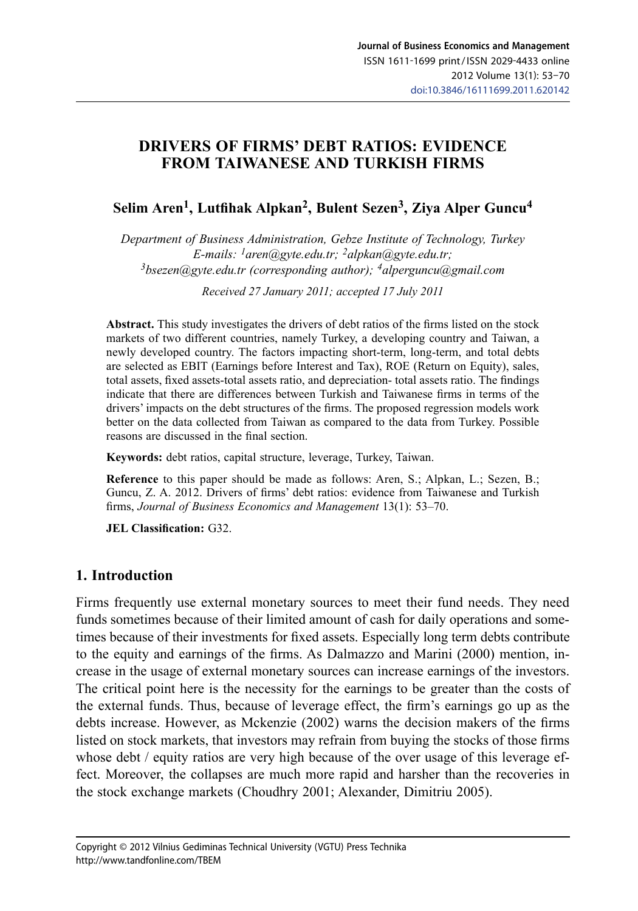# **DRIVERS OF FIRMS' DEBT RATIOS: EVIDENCE FROM TAIWANESE AND TURKISH FIRMS**

**Selim Aren1, Lutfihak Alpkan2, Bulent Sezen3, Ziya Alper Guncu4**

*Department of Business Administration, Gebze Institute of Technology, Turkey E-mails: [1aren@gyte.edu.tr;](mailto:aren@gyte.edu.tr) [2alpkan@gyte.edu.tr;](mailto:alpkan@gyte.edu.tr) 3[bsezen@gyte.edu.tr](mailto:bsezen@gyte.edu.tr) (corresponding author); [4alperguncu@gmail.com](mailto:alperguncu@gmail.com)*

*Received 27 January 2011; accepted 17 July 2011*

**Abstract.** This study investigates the drivers of debt ratios of the firms listed on the stock markets of two different countries, namely Turkey, a developing country and Taiwan, a newly developed country. The factors impacting short-term, long-term, and total debts are selected as EBIT (Earnings before Interest and Tax), ROE (Return on Equity), sales, total assets, fixed assets-total assets ratio, and depreciation- total assets ratio. The findings indicate that there are differences between Turkish and Taiwanese firms in terms of the drivers' impacts on the debt structures of the firms. The proposed regression models work better on the data collected from Taiwan as compared to the data from Turkey. Possible reasons are discussed in the final section.

**Keywords:** debt ratios, capital structure, leverage, Turkey, Taiwan.

**Reference** to this paper should be made as follows: Aren, S.; Alpkan, L.; Sezen, B.; Guncu, Z. A. 2012. Drivers of firms' debt ratios: evidence from Taiwanese and Turkish firms, *Journal of Business Economics and Management* 13(1): 53–70.

**JEL Classification:** G32.

# **1. Introduction**

Firms frequently use external monetary sources to meet their fund needs. They need funds sometimes because of their limited amount of cash for daily operations and sometimes because of their investments for fixed assets. Especially long term debts contribute to the equity and earnings of the firms. As Dalmazzo and Marini (2000) mention, increase in the usage of external monetary sources can increase earnings of the investors. The critical point here is the necessity for the earnings to be greater than the costs of the external funds. Thus, because of leverage effect, the firm's earnings go up as the debts increase. However, as Mckenzie (2002) warns the decision makers of the firms listed on stock markets, that investors may refrain from buying the stocks of those firms whose debt / equity ratios are very high because of the over usage of this leverage effect. Moreover, the collapses are much more rapid and harsher than the recoveries in the stock exchange markets (Choudhry 2001; Alexander, Dimitriu 2005).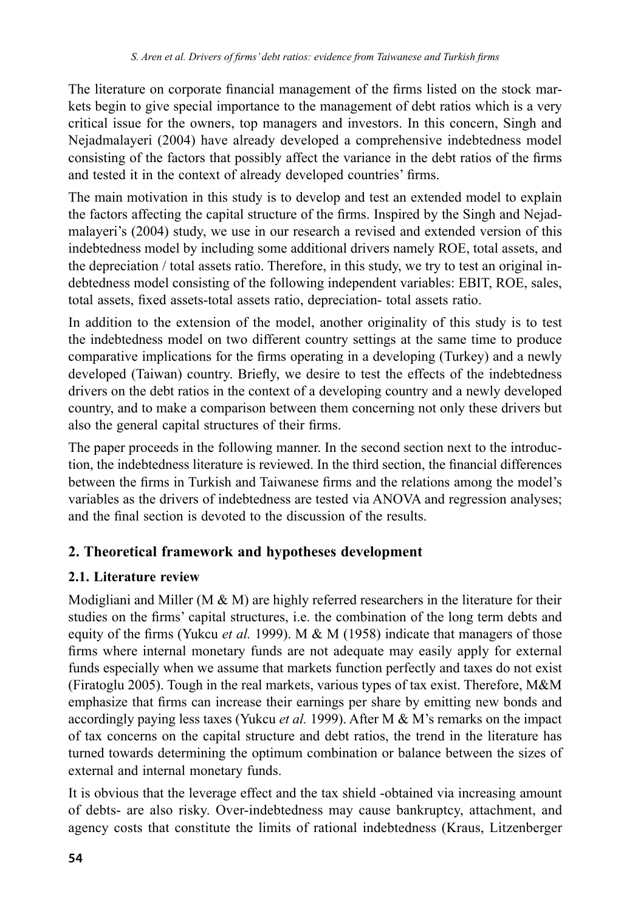The literature on corporate financial management of the firms listed on the stock markets begin to give special importance to the management of debt ratios which is a very critical issue for the owners, top managers and investors. In this concern, Singh and Nejadmalayeri (2004) have already developed a comprehensive indebtedness model consisting of the factors that possibly affect the variance in the debt ratios of the firms and tested it in the context of already developed countries' firms.

The main motivation in this study is to develop and test an extended model to explain the factors affecting the capital structure of the firms. Inspired by the Singh and Nejadmalayeri's (2004) study, we use in our research a revised and extended version of this indebtedness model by including some additional drivers namely ROE, total assets, and the depreciation / total assets ratio. Therefore, in this study, we try to test an original indebtedness model consisting of the following independent variables: EBIT, ROE, sales, total assets, fixed assets-total assets ratio, depreciation- total assets ratio.

In addition to the extension of the model, another originality of this study is to test the indebtedness model on two different country settings at the same time to produce comparative implications for the firms operating in a developing (Turkey) and a newly developed (Taiwan) country. Briefly, we desire to test the effects of the indebtedness drivers on the debt ratios in the context of a developing country and a newly developed country, and to make a comparison between them concerning not only these drivers but also the general capital structures of their firms.

The paper proceeds in the following manner. In the second section next to the introduction, the indebtedness literature is reviewed. In the third section, the financial differences between the firms in Turkish and Taiwanese firms and the relations among the model's variables as the drivers of indebtedness are tested via ANOVA and regression analyses; and the final section is devoted to the discussion of the results.

# **2. Theoretical framework and hypotheses development**

# **2.1. Literature review**

Modigliani and Miller (M  $\&$  M) are highly referred researchers in the literature for their studies on the firms' capital structures, i.e. the combination of the long term debts and equity of the firms (Yukcu *et al.* 1999). M & M (1958) indicate that managers of those firms where internal monetary funds are not adequate may easily apply for external funds especially when we assume that markets function perfectly and taxes do not exist (Firatoglu 2005). Tough in the real markets, various types of tax exist. Therefore, M&M emphasize that firms can increase their earnings per share by emitting new bonds and accordingly paying less taxes (Yukcu *et al.* 1999). After M & M's remarks on the impact of tax concerns on the capital structure and debt ratios, the trend in the literature has turned towards determining the optimum combination or balance between the sizes of external and internal monetary funds.

It is obvious that the leverage effect and the tax shield -obtained via increasing amount of debts- are also risky. Over-indebtedness may cause bankruptcy, attachment, and agency costs that constitute the limits of rational indebtedness (Kraus, Litzenberger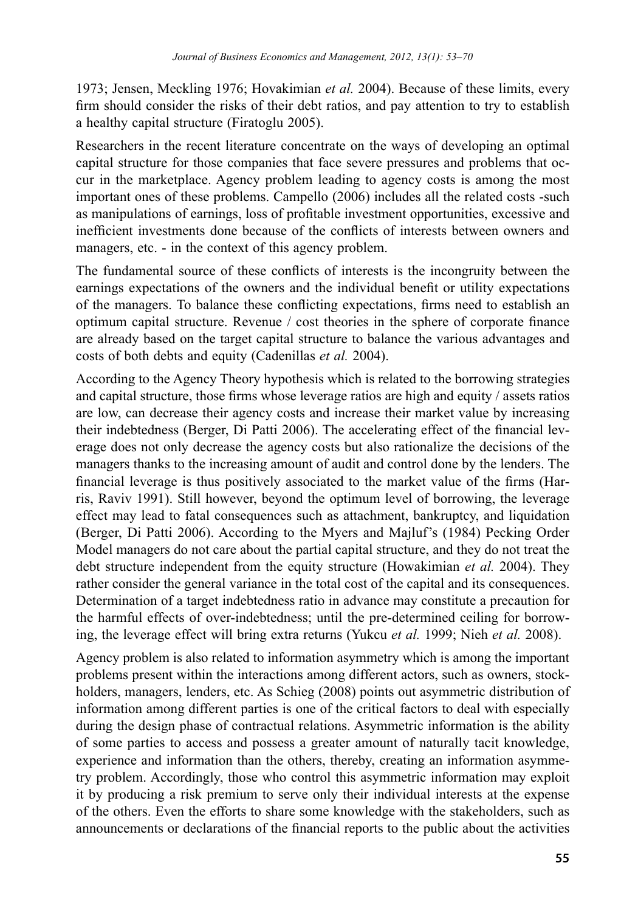1973; Jensen, Meckling 1976; Hovakimian *et al.* 2004). Because of these limits, every firm should consider the risks of their debt ratios, and pay attention to try to establish a healthy capital structure (Firatoglu 2005).

Researchers in the recent literature concentrate on the ways of developing an optimal capital structure for those companies that face severe pressures and problems that occur in the marketplace. Agency problem leading to agency costs is among the most important ones of these problems. Campello (2006) includes all the related costs -such as manipulations of earnings, loss of profitable investment opportunities, excessive and inefficient investments done because of the conflicts of interests between owners and managers, etc. - in the context of this agency problem.

The fundamental source of these conflicts of interests is the incongruity between the earnings expectations of the owners and the individual benefit or utility expectations of the managers. To balance these conflicting expectations, firms need to establish an optimum capital structure. Revenue / cost theories in the sphere of corporate finance are already based on the target capital structure to balance the various advantages and costs of both debts and equity (Cadenillas *et al.* 2004).

According to the Agency Theory hypothesis which is related to the borrowing strategies and capital structure, those firms whose leverage ratios are high and equity / assets ratios are low, can decrease their agency costs and increase their market value by increasing their indebtedness (Berger, Di Patti 2006). The accelerating effect of the financial leverage does not only decrease the agency costs but also rationalize the decisions of the managers thanks to the increasing amount of audit and control done by the lenders. The financial leverage is thus positively associated to the market value of the firms (Harris, Raviv 1991). Still however, beyond the optimum level of borrowing, the leverage effect may lead to fatal consequences such as attachment, bankruptcy, and liquidation (Berger, Di Patti 2006). According to the Myers and Majluf's (1984) Pecking Order Model managers do not care about the partial capital structure, and they do not treat the debt structure independent from the equity structure (Howakimian *et al.* 2004). They rather consider the general variance in the total cost of the capital and its consequences. Determination of a target indebtedness ratio in advance may constitute a precaution for the harmful effects of over-indebtedness; until the pre-determined ceiling for borrowing, the leverage effect will bring extra returns (Yukcu *et al.* 1999; Nieh *et al.* 2008).

Agency problem is also related to information asymmetry which is among the important problems present within the interactions among different actors, such as owners, stockholders, managers, lenders, etc. As Schieg (2008) points out asymmetric distribution of information among different parties is one of the critical factors to deal with especially during the design phase of contractual relations. Asymmetric information is the ability of some parties to access and possess a greater amount of naturally tacit knowledge, experience and information than the others, thereby, creating an information asymmetry problem. Accordingly, those who control this asymmetric information may exploit it by producing a risk premium to serve only their individual interests at the expense of the others. Even the efforts to share some knowledge with the stakeholders, such as announcements or declarations of the financial reports to the public about the activities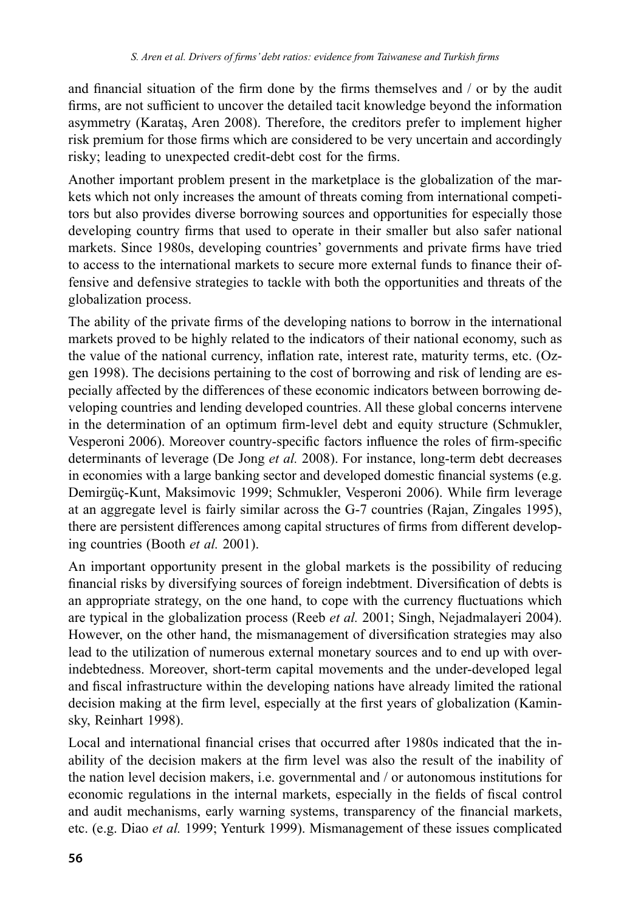and financial situation of the firm done by the firms themselves and / or by the audit firms, are not sufficient to uncover the detailed tacit knowledge beyond the information asymmetry (Karataş, Aren 2008). Therefore, the creditors prefer to implement higher risk premium for those firms which are considered to be very uncertain and accordingly risky; leading to unexpected credit-debt cost for the firms.

Another important problem present in the marketplace is the globalization of the markets which not only increases the amount of threats coming from international competitors but also provides diverse borrowing sources and opportunities for especially those developing country firms that used to operate in their smaller but also safer national markets. Since 1980s, developing countries' governments and private firms have tried to access to the international markets to secure more external funds to finance their offensive and defensive strategies to tackle with both the opportunities and threats of the globalization process.

The ability of the private firms of the developing nations to borrow in the international markets proved to be highly related to the indicators of their national economy, such as the value of the national currency, inflation rate, interest rate, maturity terms, etc. (Ozgen 1998). The decisions pertaining to the cost of borrowing and risk of lending are especially affected by the differences of these economic indicators between borrowing developing countries and lending developed countries. All these global concerns intervene in the determination of an optimum firm-level debt and equity structure (Schmukler, Vesperoni 2006). Moreover country-specific factors influence the roles of firm-specific determinants of leverage (De Jong *et al.* 2008). For instance, long-term debt decreases in economies with a large banking sector and developed domestic financial systems (e.g. Demirgüç-Kunt, Maksimovic 1999; Schmukler, Vesperoni 2006). While firm leverage at an aggregate level is fairly similar across the G-7 countries (Rajan, Zingales 1995), there are persistent differences among capital structures of firms from different developing countries (Booth *et al.* 2001).

An important opportunity present in the global markets is the possibility of reducing financial risks by diversifying sources of foreign indebtment. Diversification of debts is an appropriate strategy, on the one hand, to cope with the currency fluctuations which are typical in the globalization process (Reeb *et al.* 2001; Singh, Nejadmalayeri 2004). However, on the other hand, the mismanagement of diversification strategies may also lead to the utilization of numerous external monetary sources and to end up with overindebtedness. Moreover, short-term capital movements and the under-developed legal and fiscal infrastructure within the developing nations have already limited the rational decision making at the firm level, especially at the first years of globalization (Kaminsky, Reinhart 1998).

Local and international financial crises that occurred after 1980s indicated that the inability of the decision makers at the firm level was also the result of the inability of the nation level decision makers, i.e. governmental and / or autonomous institutions for economic regulations in the internal markets, especially in the fields of fiscal control and audit mechanisms, early warning systems, transparency of the financial markets, etc. (e.g. Diao *et al.* 1999; Yenturk 1999). Mismanagement of these issues complicated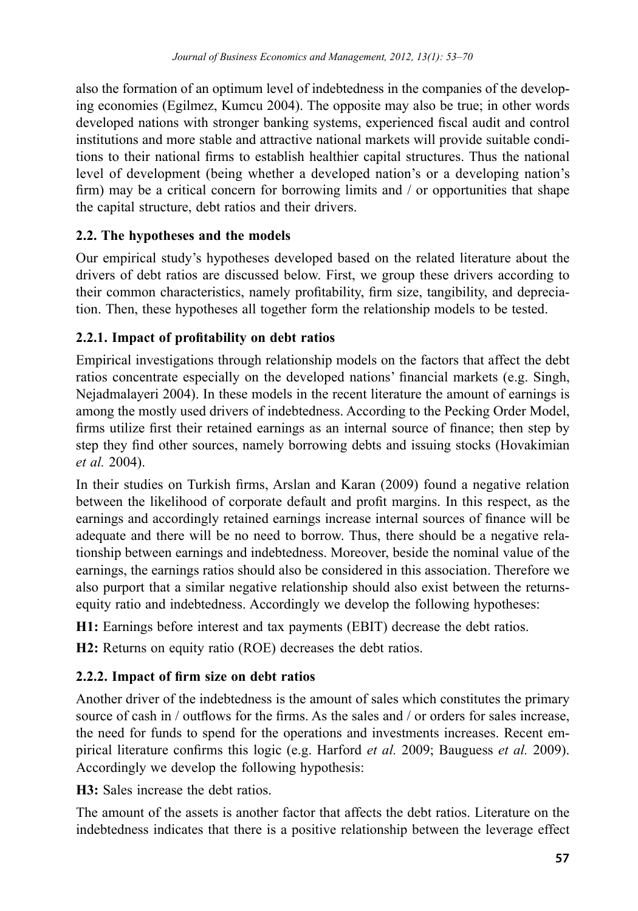also the formation of an optimum level of indebtedness in the companies of the developing economies (Egilmez, Kumcu 2004). The opposite may also be true; in other words developed nations with stronger banking systems, experienced fiscal audit and control institutions and more stable and attractive national markets will provide suitable conditions to their national firms to establish healthier capital structures. Thus the national level of development (being whether a developed nation's or a developing nation's firm) may be a critical concern for borrowing limits and / or opportunities that shape the capital structure, debt ratios and their drivers.

# **2.2. The hypotheses and the models**

Our empirical study's hypotheses developed based on the related literature about the drivers of debt ratios are discussed below. First, we group these drivers according to their common characteristics, namely profitability, firm size, tangibility, and depreciation. Then, these hypotheses all together form the relationship models to be tested.

# **2.2.1. Impact of profitability on debt ratios**

Empirical investigations through relationship models on the factors that affect the debt ratios concentrate especially on the developed nations' financial markets (e.g. Singh, Nejadmalayeri 2004). In these models in the recent literature the amount of earnings is among the mostly used drivers of indebtedness. According to the Pecking Order Model, firms utilize first their retained earnings as an internal source of finance; then step by step they find other sources, namely borrowing debts and issuing stocks (Hovakimian *et al.* 2004).

In their studies on Turkish firms, Arslan and Karan (2009) found a negative relation between the likelihood of corporate default and profit margins. In this respect, as the earnings and accordingly retained earnings increase internal sources of finance will be adequate and there will be no need to borrow. Thus, there should be a negative relationship between earnings and indebtedness. Moreover, beside the nominal value of the earnings, the earnings ratios should also be considered in this association. Therefore we also purport that a similar negative relationship should also exist between the returnsequity ratio and indebtedness. Accordingly we develop the following hypotheses:

**H1:** Earnings before interest and tax payments (EBIT) decrease the debt ratios.

**H2:** Returns on equity ratio (ROE) decreases the debt ratios.

# **2.2.2. Impact of firm size on debt ratios**

Another driver of the indebtedness is the amount of sales which constitutes the primary source of cash in / outflows for the firms. As the sales and / or orders for sales increase, the need for funds to spend for the operations and investments increases. Recent empirical literature confirms this logic (e.g. Harford *et al.* 2009; Bauguess *et al.* 2009). Accordingly we develop the following hypothesis:

**H3:** Sales increase the debt ratios.

The amount of the assets is another factor that affects the debt ratios. Literature on the indebtedness indicates that there is a positive relationship between the leverage effect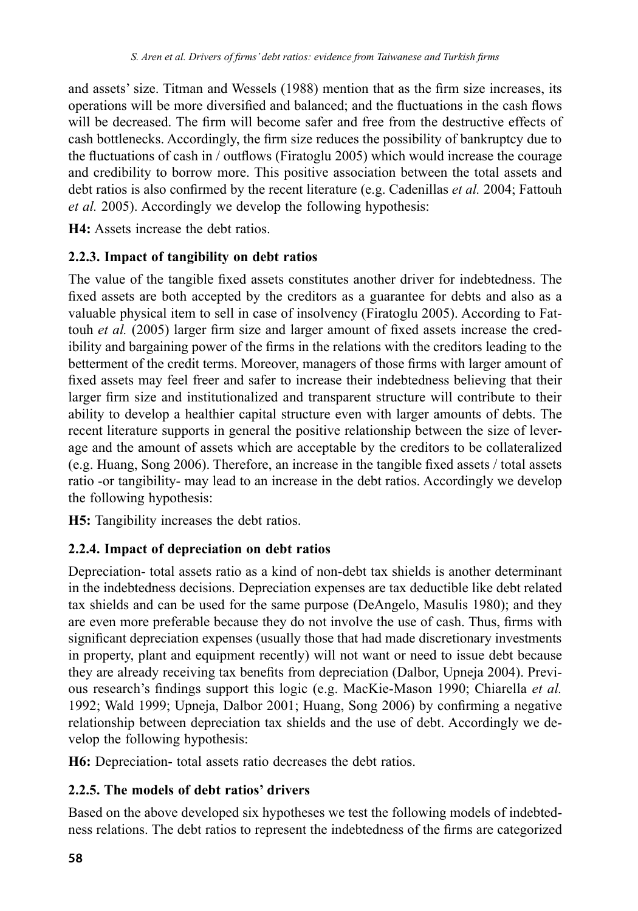and assets' size. Titman and Wessels (1988) mention that as the firm size increases, its operations will be more diversified and balanced; and the fluctuations in the cash flows will be decreased. The firm will become safer and free from the destructive effects of cash bottlenecks. Accordingly, the firm size reduces the possibility of bankruptcy due to the fluctuations of cash in / outflows (Firatoglu 2005) which would increase the courage and credibility to borrow more. This positive association between the total assets and debt ratios is also confirmed by the recent literature (e.g. Cadenillas *et al.* 2004; Fattouh *et al.* 2005). Accordingly we develop the following hypothesis:

**H4:** Assets increase the debt ratios.

# **2.2.3. Impact of tangibility on debt ratios**

The value of the tangible fixed assets constitutes another driver for indebtedness. The fixed assets are both accepted by the creditors as a guarantee for debts and also as a valuable physical item to sell in case of insolvency (Firatoglu 2005). According to Fattouh *et al.* (2005) larger firm size and larger amount of fixed assets increase the credibility and bargaining power of the firms in the relations with the creditors leading to the betterment of the credit terms. Moreover, managers of those firms with larger amount of fixed assets may feel freer and safer to increase their indebtedness believing that their larger firm size and institutionalized and transparent structure will contribute to their ability to develop a healthier capital structure even with larger amounts of debts. The recent literature supports in general the positive relationship between the size of leverage and the amount of assets which are acceptable by the creditors to be collateralized (e.g. Huang, Song 2006). Therefore, an increase in the tangible fixed assets / total assets ratio -or tangibility- may lead to an increase in the debt ratios. Accordingly we develop the following hypothesis:

**H5:** Tangibility increases the debt ratios.

# **2.2.4. Impact of depreciation on debt ratios**

Depreciation- total assets ratio as a kind of non-debt tax shields is another determinant in the indebtedness decisions. Depreciation expenses are tax deductible like debt related tax shields and can be used for the same purpose (DeAngelo, Masulis 1980); and they are even more preferable because they do not involve the use of cash. Thus, firms with significant depreciation expenses (usually those that had made discretionary investments in property, plant and equipment recently) will not want or need to issue debt because they are already receiving tax benefits from depreciation (Dalbor, Upneja 2004). Previous research's findings support this logic (e.g. MacKie-Mason 1990; Chiarella *et al.* 1992; Wald 1999; Upneja, Dalbor 2001; Huang, Song 2006) by confirming a negative relationship between depreciation tax shields and the use of debt. Accordingly we develop the following hypothesis:

**H6:** Depreciation- total assets ratio decreases the debt ratios.

# **2.2.5. The models of debt ratios' drivers**

Based on the above developed six hypotheses we test the following models of indebtedness relations. The debt ratios to represent the indebtedness of the firms are categorized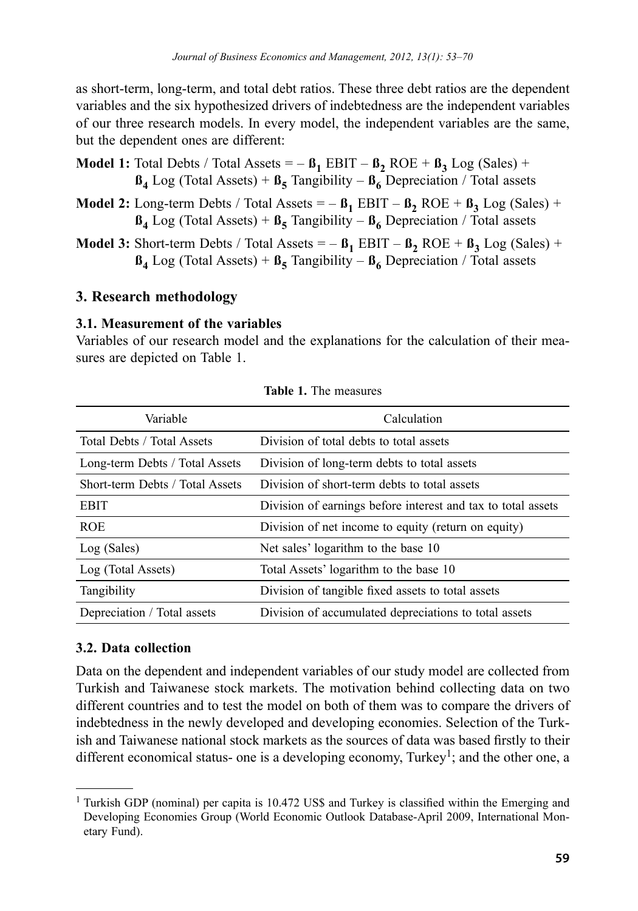as short-term, long-term, and total debt ratios. These three debt ratios are the dependent variables and the six hypothesized drivers of indebtedness are the independent variables of our three research models. In every model, the independent variables are the same, but the dependent ones are different:

**Model 1:** Total Debts / Total Assets =  $-\beta_1$  EBIT  $-\beta_2$ , ROE  $+\beta_3$  Log (Sales) +  $\mathbf{B}_4$  Log (Total Assets) +  $\mathbf{B}_5$  Tangibility –  $\mathbf{B}_6$  Depreciation / Total assets

- **Model 2:** Long-term Debts / Total Assets =  $-\beta_1$  EBIT  $-\beta_2$  ROE  $+\beta_3$  Log (Sales) +  $\mathbf{B}_4$  Log (Total Assets) +  $\mathbf{B}_5$  Tangibility –  $\mathbf{B}_6$  Depreciation / Total assets
- **Model 3:** Short-term Debts / Total Assets =  $-\beta_1$  EBIT  $-\beta_2$  ROE +  $\beta_3$  Log (Sales) +  $\mathbf{B}_4$  Log (Total Assets) +  $\mathbf{B}_5$  Tangibility –  $\mathbf{B}_6$  Depreciation / Total assets

### **3. Research methodology**

#### **3.1. Measurement of the variables**

Variables of our research model and the explanations for the calculation of their measures are depicted on Table 1.

| Variable                        | Calculation                                                  |
|---------------------------------|--------------------------------------------------------------|
| Total Debts / Total Assets      | Division of total debts to total assets                      |
| Long-term Debts / Total Assets  | Division of long-term debts to total assets                  |
| Short-term Debts / Total Assets | Division of short-term debts to total assets                 |
| <b>EBIT</b>                     | Division of earnings before interest and tax to total assets |
| <b>ROE</b>                      | Division of net income to equity (return on equity)          |
| Log (Sales)                     | Net sales' logarithm to the base 10                          |
| Log (Total Assets)              | Total Assets' logarithm to the base 10                       |
| Tangibility                     | Division of tangible fixed assets to total assets            |
| Depreciation / Total assets     | Division of accumulated depreciations to total assets        |

**Table 1.** The measures

#### **3.2. Data collection**

Data on the dependent and independent variables of our study model are collected from Turkish and Taiwanese stock markets. The motivation behind collecting data on two different countries and to test the model on both of them was to compare the drivers of indebtedness in the newly developed and developing economies. Selection of the Turkish and Taiwanese national stock markets as the sources of data was based firstly to their different economical status- one is a developing economy, Turkey<sup>1</sup>; and the other one, a

<sup>&</sup>lt;sup>1</sup> Turkish GDP (nominal) per capita is 10.472 US\$ and Turkey is classified within the Emerging and Developing Economies Group (World Economic Outlook Database-April 2009, International Monetary Fund).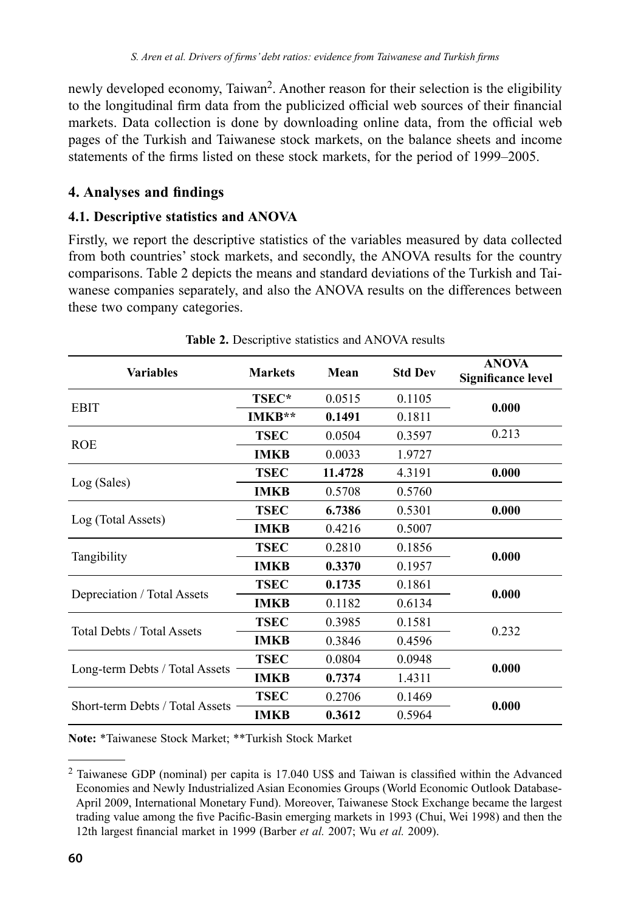newly developed economy, Taiwan<sup>2</sup>. Another reason for their selection is the eligibility to the longitudinal firm data from the publicized official web sources of their financial markets. Data collection is done by downloading online data, from the official web pages of the Turkish and Taiwanese stock markets, on the balance sheets and income statements of the firms listed on these stock markets, for the period of 1999–2005.

### **4. Analyses and findings**

#### **4.1. Descriptive statistics and ANOVA**

Firstly, we report the descriptive statistics of the variables measured by data collected from both countries' stock markets, and secondly, the ANOVA results for the country comparisons. Table 2 depicts the means and standard deviations of the Turkish and Taiwanese companies separately, and also the ANOVA results on the differences between these two company categories.

| <b>Variables</b>                | <b>Markets</b> | Mean    | <b>Std Dev</b> | <b>ANOVA</b><br>Significance level |
|---------------------------------|----------------|---------|----------------|------------------------------------|
|                                 | TSEC*          | 0.0515  | 0.1105         |                                    |
| <b>EBIT</b>                     | IMKB**         | 0.1491  | 0.1811         | 0.000                              |
|                                 | <b>TSEC</b>    | 0.0504  | 0.3597         | 0.213                              |
| <b>ROE</b>                      | <b>IMKB</b>    | 0.0033  | 1.9727         |                                    |
|                                 | <b>TSEC</b>    | 11.4728 | 4.3191         | 0.000                              |
| Log (Sales)                     | <b>IMKR</b>    | 0.5708  | 0.5760         |                                    |
|                                 | <b>TSEC</b>    | 6.7386  | 0.5301         | 0.000                              |
| Log (Total Assets)              | <b>IMKB</b>    | 0.4216  | 0.5007         |                                    |
|                                 | <b>TSEC</b>    | 0.2810  | 0.1856         |                                    |
| Tangibility                     | <b>IMKB</b>    | 0.3370  | 0.1957         | 0.000                              |
|                                 | <b>TSEC</b>    | 0.1735  | 0.1861         | 0.000                              |
| Depreciation / Total Assets     | <b>IMKB</b>    | 0.1182  | 0.6134         |                                    |
| Total Debts / Total Assets      | <b>TSEC</b>    | 0.3985  | 0.1581         | 0.232                              |
|                                 | <b>IMKB</b>    | 0.3846  | 0.4596         |                                    |
| Long-term Debts / Total Assets  | TSEC           | 0.0804  | 0.0948         | 0.000                              |
|                                 | <b>IMKB</b>    | 0.7374  | 1.4311         |                                    |
| Short-term Debts / Total Assets | <b>TSEC</b>    | 0.2706  | 0.1469         |                                    |
|                                 | <b>IMKB</b>    | 0.3612  | 0.5964         | 0.000                              |

|  | Table 2. Descriptive statistics and ANOVA results |  |  |  |  |
|--|---------------------------------------------------|--|--|--|--|
|--|---------------------------------------------------|--|--|--|--|

**Note:** \*Taiwanese Stock Market; \*\*Turkish Stock Market

<sup>2</sup> Taiwanese GDP (nominal) per capita is 17.040 US\$ and Taiwan is classified within the Advanced Economies and Newly Industrialized Asian Economies Groups (World Economic Outlook Database-April 2009, International Monetary Fund). Moreover, Taiwanese Stock Exchange became the largest trading value among the five Pacific-Basin emerging markets in 1993 (Chui, Wei 1998) and then the 12th largest financial market in 1999 (Barber *et al.* 2007; Wu *et al.* 2009).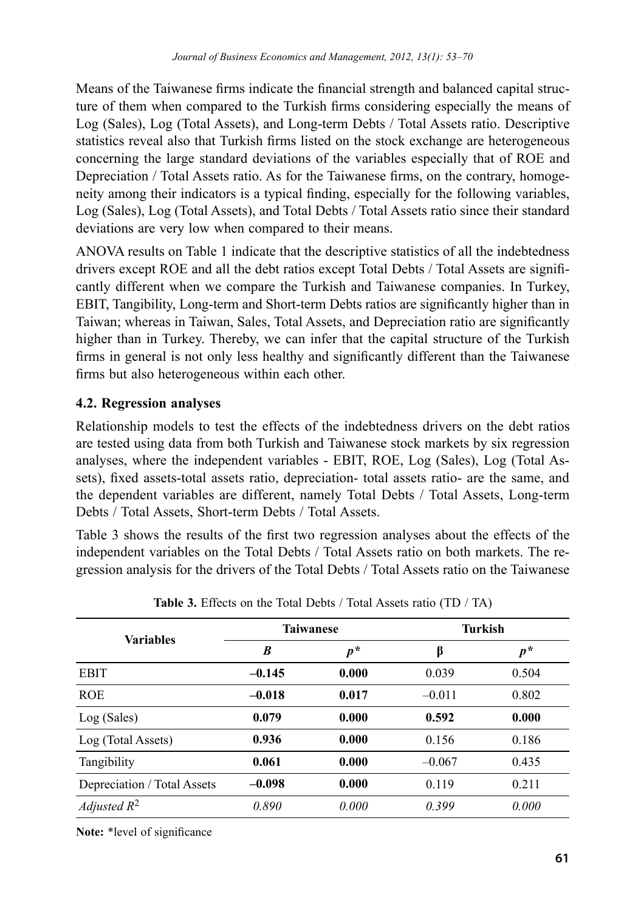Means of the Taiwanese firms indicate the financial strength and balanced capital structure of them when compared to the Turkish firms considering especially the means of Log (Sales), Log (Total Assets), and Long-term Debts / Total Assets ratio. Descriptive statistics reveal also that Turkish firms listed on the stock exchange are heterogeneous concerning the large standard deviations of the variables especially that of ROE and Depreciation / Total Assets ratio. As for the Taiwanese firms, on the contrary, homogeneity among their indicators is a typical finding, especially for the following variables, Log (Sales), Log (Total Assets), and Total Debts / Total Assets ratio since their standard deviations are very low when compared to their means.

ANOVA results on Table 1 indicate that the descriptive statistics of all the indebtedness drivers except ROE and all the debt ratios except Total Debts / Total Assets are significantly different when we compare the Turkish and Taiwanese companies. In Turkey, EBIT, Tangibility, Long-term and Short-term Debts ratios are significantly higher than in Taiwan; whereas in Taiwan, Sales, Total Assets, and Depreciation ratio are significantly higher than in Turkey. Thereby, we can infer that the capital structure of the Turkish firms in general is not only less healthy and significantly different than the Taiwanese firms but also heterogeneous within each other.

# **4.2. Regression analyses**

Relationship models to test the effects of the indebtedness drivers on the debt ratios are tested using data from both Turkish and Taiwanese stock markets by six regression analyses, where the independent variables - EBIT, ROE, Log (Sales), Log (Total Assets), fixed assets-total assets ratio, depreciation- total assets ratio- are the same, and the dependent variables are different, namely Total Debts / Total Assets, Long-term Debts / Total Assets, Short-term Debts / Total Assets.

Table 3 shows the results of the first two regression analyses about the effects of the independent variables on the Total Debts / Total Assets ratio on both markets. The regression analysis for the drivers of the Total Debts / Total Assets ratio on the Taiwanese

| <b>Variables</b>            | <b>Taiwanese</b> |       | <b>Turkish</b> |       |  |
|-----------------------------|------------------|-------|----------------|-------|--|
|                             | B                | $p^*$ | β              | $p^*$ |  |
| <b>EBIT</b>                 | $-0.145$         | 0.000 | 0.039          | 0.504 |  |
| <b>ROE</b>                  | $-0.018$         | 0.017 | $-0.011$       | 0.802 |  |
| Log (Sales)                 | 0.079            | 0.000 | 0.592          | 0.000 |  |
| Log (Total Assets)          | 0.936            | 0.000 | 0.156          |       |  |
| Tangibility                 | 0.061            | 0.000 | $-0.067$       | 0.435 |  |
| Depreciation / Total Assets | $-0.098$         | 0.000 | 0.119          | 0.211 |  |
| Adjusted $R^2$              | 0.890            | 0.000 | 0.399          | 0.000 |  |

**Table 3.** Effects on the Total Debts / Total Assets ratio (TD / TA)

**Note:** \*level of significance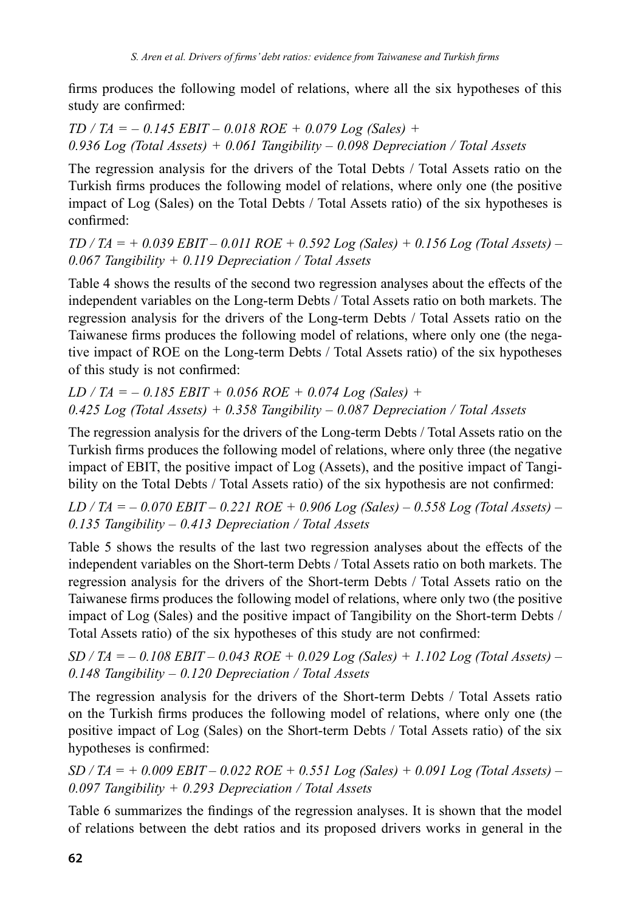firms produces the following model of relations, where all the six hypotheses of this study are confirmed:

 $TD / TA = -0.145 EBIT - 0.018 ROE + 0.079 Log (Sales) +$ *0.936 Log (Total Assets) + 0.061 Tangibility – 0.098 Depreciation / Total Assets*

The regression analysis for the drivers of the Total Debts / Total Assets ratio on the Turkish firms produces the following model of relations, where only one (the positive impact of Log (Sales) on the Total Debts / Total Assets ratio) of the six hypotheses is confirmed:

*TD / TA = + 0.039 EBIT – 0.011 ROE + 0.592 Log (Sales) + 0.156 Log (Total Assets) – 0.067 Tangibility + 0.119 Depreciation / Total Assets*

Table 4 shows the results of the second two regression analyses about the effects of the independent variables on the Long-term Debts / Total Assets ratio on both markets. The regression analysis for the drivers of the Long-term Debts / Total Assets ratio on the Taiwanese firms produces the following model of relations, where only one (the negative impact of ROE on the Long-term Debts / Total Assets ratio) of the six hypotheses of this study is not confirmed:

 $LD / TA = -0.185 EBIT + 0.056 ROE + 0.074 Log (Sales) +$ *0.425 Log (Total Assets) + 0.358 Tangibility – 0.087 Depreciation / Total Assets*

The regression analysis for the drivers of the Long-term Debts / Total Assets ratio on the Turkish firms produces the following model of relations, where only three (the negative impact of EBIT, the positive impact of Log (Assets), and the positive impact of Tangibility on the Total Debts / Total Assets ratio) of the six hypothesis are not confirmed:

*LD / TA = – 0.070 EBIT – 0.221 ROE + 0.906 Log (Sales) – 0.558 Log (Total Assets) – 0.135 Tangibility – 0.413 Depreciation / Total Assets*

Table 5 shows the results of the last two regression analyses about the effects of the independent variables on the Short-term Debts / Total Assets ratio on both markets. The regression analysis for the drivers of the Short-term Debts / Total Assets ratio on the Taiwanese firms produces the following model of relations, where only two (the positive impact of Log (Sales) and the positive impact of Tangibility on the Short-term Debts / Total Assets ratio) of the six hypotheses of this study are not confirmed:

*SD / TA = – 0.108 EBIT – 0.043 ROE + 0.029 Log (Sales) + 1.102 Log (Total Assets) – 0.148 Tangibility – 0.120 Depreciation / Total Assets*

The regression analysis for the drivers of the Short-term Debts / Total Assets ratio on the Turkish firms produces the following model of relations, where only one (the positive impact of Log (Sales) on the Short-term Debts / Total Assets ratio) of the six hypotheses is confirmed:

*SD / TA = + 0.009 EBIT – 0.022 ROE + 0.551 Log (Sales) + 0.091 Log (Total Assets) – 0.097 Tangibility + 0.293 Depreciation / Total Assets*

Table 6 summarizes the findings of the regression analyses. It is shown that the model of relations between the debt ratios and its proposed drivers works in general in the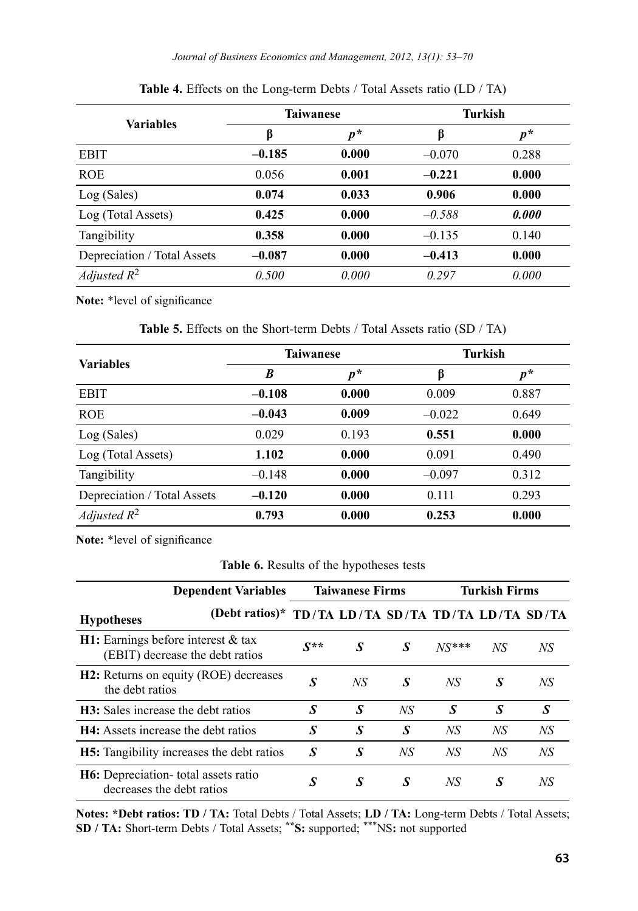| <b>Variables</b>            |          | <b>Taiwanese</b> | <b>Turkish</b> |       |  |
|-----------------------------|----------|------------------|----------------|-------|--|
|                             |          | $p^*$            |                | $p^*$ |  |
| <b>EBIT</b>                 | $-0.185$ | 0.000            | $-0.070$       | 0.288 |  |
| <b>ROE</b>                  | 0.056    | 0.001            | $-0.221$       | 0.000 |  |
| Log (Sales)                 | 0.074    | 0.033            | 0.906          | 0.000 |  |
| Log (Total Assets)          | 0.425    | 0.000            | $-0.588$       | 0.000 |  |
| Tangibility                 | 0.358    | 0.000            | $-0.135$       | 0.140 |  |
| Depreciation / Total Assets | $-0.087$ | 0.000            | $-0.413$       | 0.000 |  |
| Adjusted $R^2$              | 0.500    | 0.000            | 0.297          | 0.000 |  |

**Table 4.** Effects on the Long-term Debts / Total Assets ratio (LD / TA)

**Note:** \*level of significance

**Table 5.** Effects on the Short-term Debts / Total Assets ratio (SD / TA)

| <b>Variables</b>            |          | <b>Taiwanese</b> | <b>Turkish</b> |       |  |
|-----------------------------|----------|------------------|----------------|-------|--|
|                             | B        | $p^*$            | ß              | $p^*$ |  |
| <b>EBIT</b>                 | $-0.108$ | 0.000            | 0.009          | 0.887 |  |
| <b>ROE</b>                  | $-0.043$ | 0.009            | $-0.022$       | 0.649 |  |
| Log(Sales)                  | 0.029    | 0.193            | 0.551          | 0.000 |  |
| Log (Total Assets)          | 1.102    | 0.000            | 0.091          | 0.490 |  |
| Tangibility                 | $-0.148$ | 0.000            | $-0.097$       | 0.312 |  |
| Depreciation / Total Assets | $-0.120$ | 0.000            | 0.111          | 0.293 |  |
| Adjusted $R^2$              | 0.793    | 0.000            | 0.253          | 0.000 |  |

**Note:** \*level of significance

**Table 6.** Results of the hypotheses tests

| <b>Dependent Variables</b>                                                      | <b>Taiwanese Firms</b> |               |                  | <b>Turkish Firms</b> |                  |                  |
|---------------------------------------------------------------------------------|------------------------|---------------|------------------|----------------------|------------------|------------------|
| (Debt ratios)* TD/TA LD/TA SD/TA TD/TA LD/TA SD/TA<br><b>Hypotheses</b>         |                        |               |                  |                      |                  |                  |
| <b>H1:</b> Earnings before interest $\&$ tax<br>(EBIT) decrease the debt ratios | $S^**$                 | $\mathcal{S}$ | S                | $NS***$              | NS               | NS               |
| H2: Returns on equity (ROE) decreases<br>the debt ratios                        | $\boldsymbol{S}$       | NS.           | $\mathcal{S}$    | NS.                  | S                | NS               |
| <b>H3</b> : Sales increase the debt ratios                                      | S                      | S             | NS <sup>-</sup>  | S.                   | $\boldsymbol{S}$ | $\boldsymbol{S}$ |
| <b>H4</b> : Assets increase the debt ratios                                     | $\boldsymbol{S}$       | S             | $\boldsymbol{S}$ | NS                   | NS               | NS               |
| <b>H5:</b> Tangibility increases the debt ratios                                | $\boldsymbol{S}$       | S             | NS <sup>-</sup>  | МS                   | NS               | NS               |
| H6: Depreciation- total assets ratio<br>decreases the debt ratios               | S                      | S             | S                | NS.                  | S                | NS.              |

**Notes: \*Debt ratios: TD / TA:** Total Debts / Total Assets; **LD / TA:** Long-term Debts / Total Assets; **SD / TA:** Short-term Debts / Total Assets; **\*\*S:** supported; \*\*\*NS**:** not supported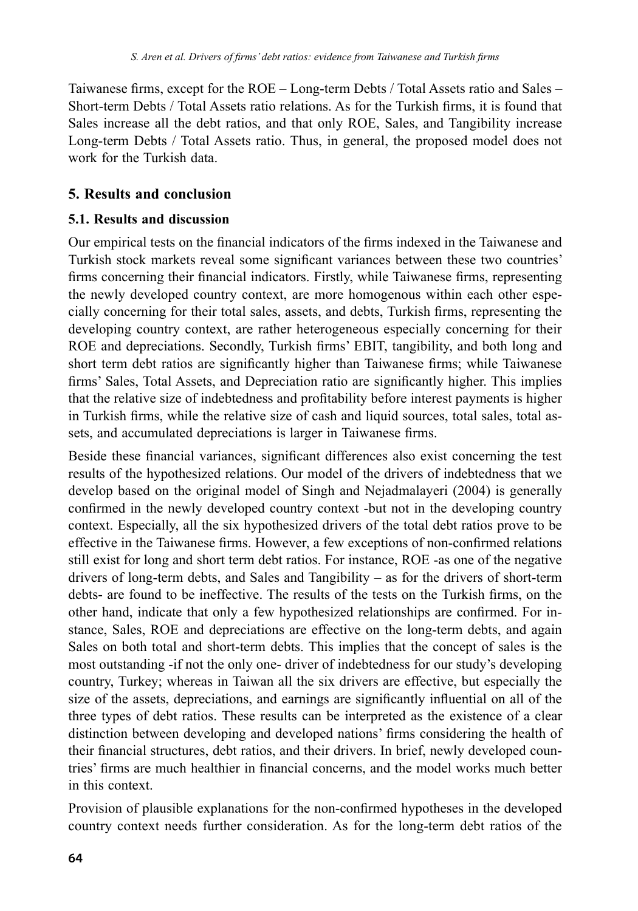Taiwanese firms, except for the ROE – Long-term Debts / Total Assets ratio and Sales – Short-term Debts / Total Assets ratio relations. As for the Turkish firms, it is found that Sales increase all the debt ratios, and that only ROE, Sales, and Tangibility increase Long-term Debts / Total Assets ratio. Thus, in general, the proposed model does not work for the Turkish data.

#### **5. Results and conclusion**

### **5.1. Results and discussion**

Our empirical tests on the financial indicators of the firms indexed in the Taiwanese and Turkish stock markets reveal some significant variances between these two countries' firms concerning their financial indicators. Firstly, while Taiwanese firms, representing the newly developed country context, are more homogenous within each other especially concerning for their total sales, assets, and debts, Turkish firms, representing the developing country context, are rather heterogeneous especially concerning for their ROE and depreciations. Secondly, Turkish firms' EBIT, tangibility, and both long and short term debt ratios are significantly higher than Taiwanese firms; while Taiwanese firms' Sales, Total Assets, and Depreciation ratio are significantly higher. This implies that the relative size of indebtedness and profitability before interest payments is higher in Turkish firms, while the relative size of cash and liquid sources, total sales, total assets, and accumulated depreciations is larger in Taiwanese firms.

Beside these financial variances, significant differences also exist concerning the test results of the hypothesized relations. Our model of the drivers of indebtedness that we develop based on the original model of Singh and Nejadmalayeri (2004) is generally confirmed in the newly developed country context -but not in the developing country context. Especially, all the six hypothesized drivers of the total debt ratios prove to be effective in the Taiwanese firms. However, a few exceptions of non-confirmed relations still exist for long and short term debt ratios. For instance, ROE -as one of the negative drivers of long-term debts, and Sales and Tangibility – as for the drivers of short-term debts- are found to be ineffective. The results of the tests on the Turkish firms, on the other hand, indicate that only a few hypothesized relationships are confirmed. For instance, Sales, ROE and depreciations are effective on the long-term debts, and again Sales on both total and short-term debts. This implies that the concept of sales is the most outstanding -if not the only one- driver of indebtedness for our study's developing country, Turkey; whereas in Taiwan all the six drivers are effective, but especially the size of the assets, depreciations, and earnings are significantly influential on all of the three types of debt ratios. These results can be interpreted as the existence of a clear distinction between developing and developed nations' firms considering the health of their financial structures, debt ratios, and their drivers. In brief, newly developed countries' firms are much healthier in financial concerns, and the model works much better in this context.

Provision of plausible explanations for the non-confirmed hypotheses in the developed country context needs further consideration. As for the long-term debt ratios of the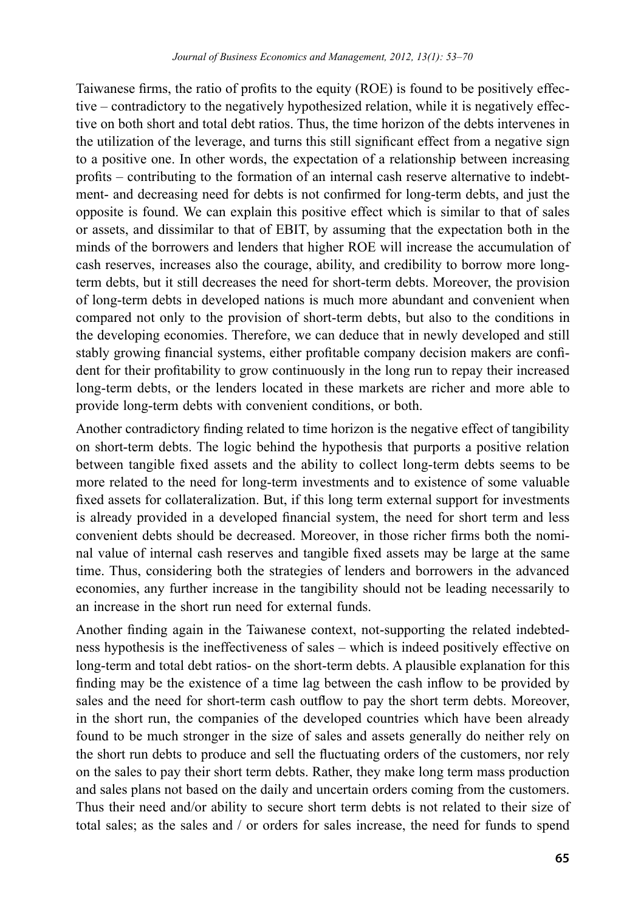Taiwanese firms, the ratio of profits to the equity (ROE) is found to be positively effective – contradictory to the negatively hypothesized relation, while it is negatively effective on both short and total debt ratios. Thus, the time horizon of the debts intervenes in the utilization of the leverage, and turns this still significant effect from a negative sign to a positive one. In other words, the expectation of a relationship between increasing profits – contributing to the formation of an internal cash reserve alternative to indebtment- and decreasing need for debts is not confirmed for long-term debts, and just the opposite is found. We can explain this positive effect which is similar to that of sales or assets, and dissimilar to that of EBIT, by assuming that the expectation both in the minds of the borrowers and lenders that higher ROE will increase the accumulation of cash reserves, increases also the courage, ability, and credibility to borrow more longterm debts, but it still decreases the need for short-term debts. Moreover, the provision of long-term debts in developed nations is much more abundant and convenient when compared not only to the provision of short-term debts, but also to the conditions in the developing economies. Therefore, we can deduce that in newly developed and still stably growing financial systems, either profitable company decision makers are confident for their profitability to grow continuously in the long run to repay their increased long-term debts, or the lenders located in these markets are richer and more able to provide long-term debts with convenient conditions, or both.

Another contradictory finding related to time horizon is the negative effect of tangibility on short-term debts. The logic behind the hypothesis that purports a positive relation between tangible fixed assets and the ability to collect long-term debts seems to be more related to the need for long-term investments and to existence of some valuable fixed assets for collateralization. But, if this long term external support for investments is already provided in a developed financial system, the need for short term and less convenient debts should be decreased. Moreover, in those richer firms both the nominal value of internal cash reserves and tangible fixed assets may be large at the same time. Thus, considering both the strategies of lenders and borrowers in the advanced economies, any further increase in the tangibility should not be leading necessarily to an increase in the short run need for external funds.

Another finding again in the Taiwanese context, not-supporting the related indebtedness hypothesis is the ineffectiveness of sales – which is indeed positively effective on long-term and total debt ratios- on the short-term debts. A plausible explanation for this finding may be the existence of a time lag between the cash inflow to be provided by sales and the need for short-term cash outflow to pay the short term debts. Moreover, in the short run, the companies of the developed countries which have been already found to be much stronger in the size of sales and assets generally do neither rely on the short run debts to produce and sell the fluctuating orders of the customers, nor rely on the sales to pay their short term debts. Rather, they make long term mass production and sales plans not based on the daily and uncertain orders coming from the customers. Thus their need and/or ability to secure short term debts is not related to their size of total sales; as the sales and / or orders for sales increase, the need for funds to spend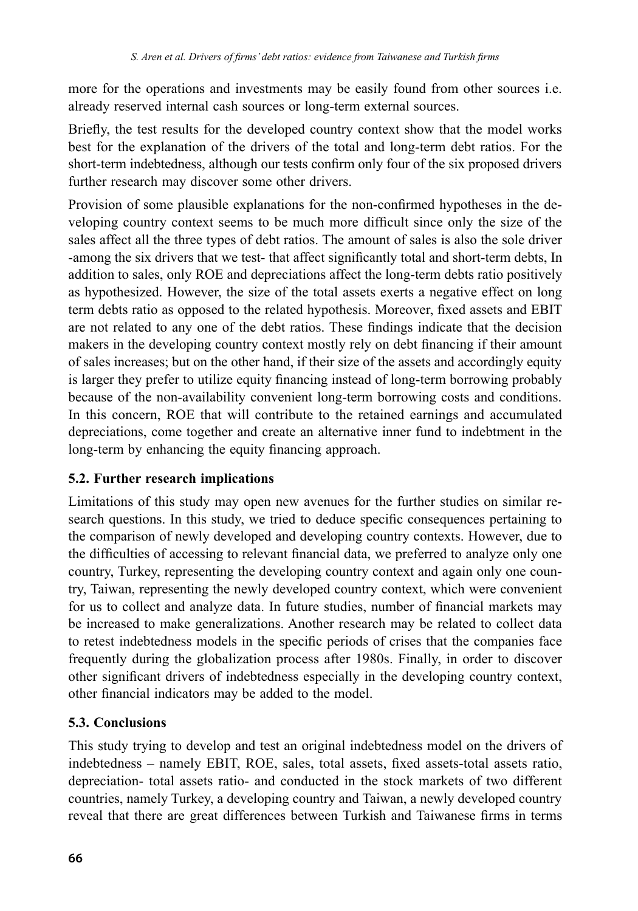more for the operations and investments may be easily found from other sources i.e. already reserved internal cash sources or long-term external sources.

Briefly, the test results for the developed country context show that the model works best for the explanation of the drivers of the total and long-term debt ratios. For the short-term indebtedness, although our tests confirm only four of the six proposed drivers further research may discover some other drivers.

Provision of some plausible explanations for the non-confirmed hypotheses in the developing country context seems to be much more difficult since only the size of the sales affect all the three types of debt ratios. The amount of sales is also the sole driver -among the six drivers that we test- that affect significantly total and short-term debts, In addition to sales, only ROE and depreciations affect the long-term debts ratio positively as hypothesized. However, the size of the total assets exerts a negative effect on long term debts ratio as opposed to the related hypothesis. Moreover, fixed assets and EBIT are not related to any one of the debt ratios. These findings indicate that the decision makers in the developing country context mostly rely on debt financing if their amount of sales increases; but on the other hand, if their size of the assets and accordingly equity is larger they prefer to utilize equity financing instead of long-term borrowing probably because of the non-availability convenient long-term borrowing costs and conditions. In this concern, ROE that will contribute to the retained earnings and accumulated depreciations, come together and create an alternative inner fund to indebtment in the long-term by enhancing the equity financing approach.

#### **5.2. Further research implications**

Limitations of this study may open new avenues for the further studies on similar research questions. In this study, we tried to deduce specific consequences pertaining to the comparison of newly developed and developing country contexts. However, due to the difficulties of accessing to relevant financial data, we preferred to analyze only one country, Turkey, representing the developing country context and again only one country, Taiwan, representing the newly developed country context, which were convenient for us to collect and analyze data. In future studies, number of financial markets may be increased to make generalizations. Another research may be related to collect data to retest indebtedness models in the specific periods of crises that the companies face frequently during the globalization process after 1980s. Finally, in order to discover other significant drivers of indebtedness especially in the developing country context, other financial indicators may be added to the model.

# **5.3. Conclusions**

This study trying to develop and test an original indebtedness model on the drivers of indebtedness – namely EBIT, ROE, sales, total assets, fixed assets-total assets ratio, depreciation- total assets ratio- and conducted in the stock markets of two different countries, namely Turkey, a developing country and Taiwan, a newly developed country reveal that there are great differences between Turkish and Taiwanese firms in terms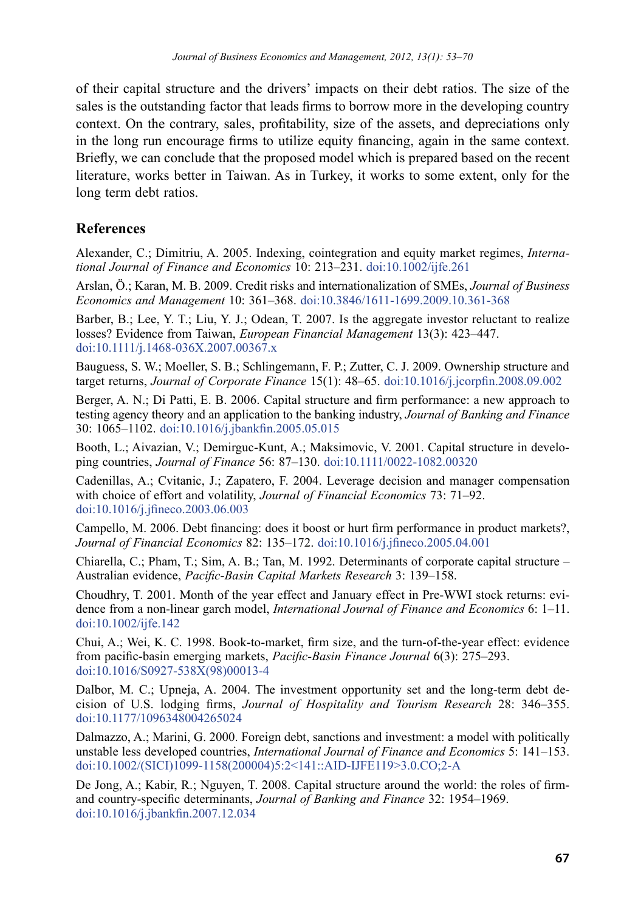of their capital structure and the drivers' impacts on their debt ratios. The size of the sales is the outstanding factor that leads firms to borrow more in the developing country context. On the contrary, sales, profitability, size of the assets, and depreciations only in the long run encourage firms to utilize equity financing, again in the same context. Briefly, we can conclude that the proposed model which is prepared based on the recent literature, works better in Taiwan. As in Turkey, it works to some extent, only for the long term debt ratios.

### **References**

Alexander, C.; Dimitriu, A. 2005. Indexing, cointegration and equity market regimes, *International Journal of Finance and Economics* 10: 213–231. [doi:10.1002/ijfe.261](http://dx.doi.org/10.1002/ijfe.261)

Arslan, Ö.; Karan, M. B. 2009. Credit risks and internationalization of SMEs, *Journal of Business Economics and Management* 10: 361–368. [doi:10.3846/1611-1699.2009.10.361-368](http://dx.doi.org/10.3846/1611-1699.2009.10.361-368)

Barber, B.; Lee, Y. T.; Liu, Y. J.; Odean, T. 2007. Is the aggregate investor reluctant to realize losses? Evidence from Taiwan, *European Financial Management* 13(3): 423–447. [doi:10.1111/j.1468-036X.2007.00367.x](http://dx.doi.org/10.1111/j.1468-036X.2007.00367.x)

Bauguess, S. W.; Moeller, S. B.; Schlingemann, F. P.; Zutter, C. J. 2009. Ownership structure and target returns, *Journal of Corporate Finance* 15(1): 48–65. [doi:10.1016/j.jcorpfin.2008.09.002](http://dx.doi.org/10.1016/j.jcorpfin.2008.09.002)

Berger, A. N.; Di Patti, E. B. 2006. Capital structure and firm performance: a new approach to testing agency theory and an application to the banking industry, *Journal of Banking and Finance* 30: 1065–1102. [doi:10.1016/j.jbankfin.2005.05.015](http://dx.doi.org/10.1016/j.jbankfin.2005.05.015)

Booth, L.; Aivazian, V.; Demirguc-Kunt, A.; Maksimovic, V. 2001. Capital structure in developing countries, *Journal of Finance* 56: 87–130. [doi:10.1111/0022-1082.00320](http://dx.doi.org/10.1111/0022-1082.00320)

Cadenillas, A.; Cvitanic, J.; Zapatero, F. 2004. Leverage decision and manager compensation with choice of effort and volatility, *Journal of Financial Economics* 73: 71–92. [doi:10.1016/j.jfineco.2003.06.003](http://dx.doi.org/10.1016/j.jfineco.2003.06.003)

Campello, M. 2006. Debt financing: does it boost or hurt firm performance in product markets?, *Journal of Financial Economics* 82: 135–172. [doi:10.1016/j.jfineco.2005.04.001](http://dx.doi.org/10.1016/j.jfineco.2005.04.001)

Chiarella, C.; Pham, T.; Sim, A. B.; Tan, M. 1992. Determinants of corporate capital structure – Australian evidence, *Pacific-Basin Capital Markets Research* 3: 139–158.

Choudhry, T. 2001. Month of the year effect and January effect in Pre-WWI stock returns: evidence from a non-linear garch model, *International Journal of Finance and Economics* 6: 1–11. [doi:10.1002/ijfe.142](http://dx.doi.org/10.1002/ijfe.142)

Chui, A.; Wei, K. C. 1998. Book-to-market, firm size, and the turn-of-the-year effect: evidence from pacific-basin emerging markets, *Pacific-Basin Finance Journal* 6(3): 275–293. [doi:10.1016/S0927-538X\(98\)00013-4](http://dx.doi.org/10.1016/S0927-538X(98)00013-4)

Dalbor, M. C.; Upneja, A. 2004. The investment opportunity set and the long-term debt decision of U.S. lodging firms, *Journal of Hospitality and Tourism Research* 28: 346–355. [doi:10.1177/1096348004265024](http://dx.doi.org/10.1177/1096348004265024)

Dalmazzo, A.; Marini, G. 2000. Foreign debt, sanctions and investment: a model with politically unstable less developed countries, *International Journal of Finance and Economics* 5: 141–153. [doi:10.1002/\(SICI\)1099-1158\(200004\)5:2<141::AID-IJFE119>3.0.CO;2-A](http://dx.doi.org/10.1002/(SICI)1099-1158(200004)5:2%3c141::AID-IJFE119%3e3.0.CO;2-A)

De Jong, A.; Kabir, R.; Nguyen, T. 2008. Capital structure around the world: the roles of firmand country-specific determinants, *Journal of Banking and Finance* 32: 1954–1969. [doi:10.1016/j.jbankfin.2007.12.034](http://dx.doi.org/10.1016/j.jbankfin.2007.12.034)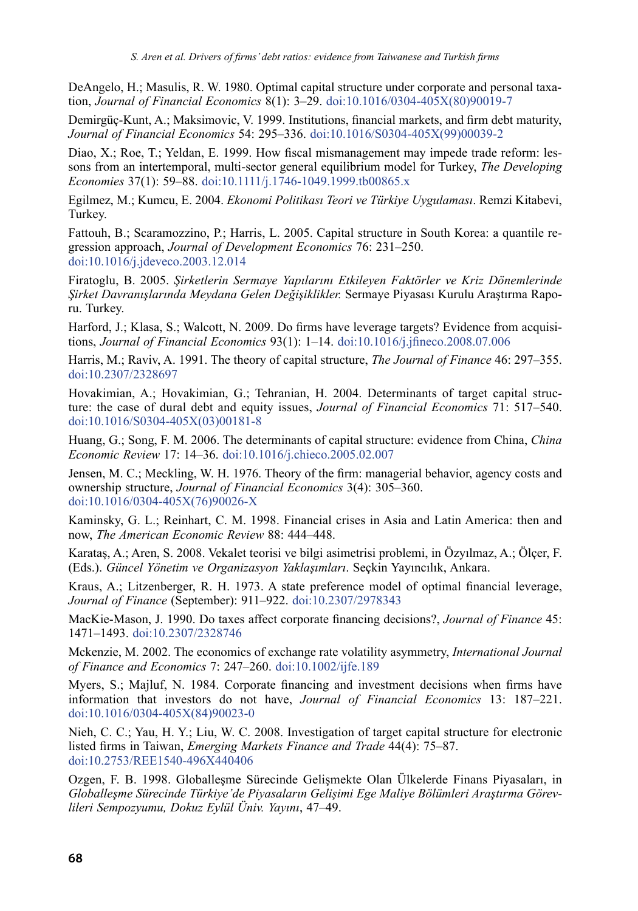DeAngelo, H.; Masulis, R. W. 1980. Optimal capital structure under corporate and personal taxation, *Journal of Financial Economics* 8(1): 3–29. [doi:10.1016/0304-405X\(80\)90019-7](http://dx.doi.org/10.1016/0304-405X(80)90019-7)

Demirgüç-Kunt, A.; Maksimovic, V. 1999. Institutions, financial markets, and firm debt maturity, *Journal of Financial Economics* 54: 295–336. [doi:10.1016/S0304-405X\(99\)00039-2](http://dx.doi.org/10.1016/S0304-405X(99)00039-2)

Diao, X.; Roe, T.; Yeldan, E. 1999. How fiscal mismanagement may impede trade reform: lessons from an intertemporal, multi-sector general equilibrium model for Turkey, *The Developing Economies* 37(1): 59–88. [doi:10.1111/j.1746-1049.1999.tb00865.x](http://dx.doi.org/10.1111/j.1746-1049.1999.tb00865.x)

Egilmez, M.; Kumcu, E. 2004. *Ekonomi Politikası Teori ve Türkiye Uygulaması*. Remzi Kitabevi, Turkey.

Fattouh, B.; Scaramozzino, P.; Harris, L. 2005. Capital structure in South Korea: a quantile regression approach, *Journal of Development Economics* 76: 231–250. [doi:10.1016/j.jdeveco.2003.12.014](http://dx.doi.org/10.1016/j.jdeveco.2003.12.014)

Firatoglu, B. 2005. *Şirketlerin Sermaye Yapılarını Etkileyen Faktörler ve Kriz Dönemlerinde Şirket Davranışlarında Meydana Gelen Değişiklikler.* Sermaye Piyasası Kurulu Araştırma Raporu. Turkey.

Harford, J.; Klasa, S.; Walcott, N. 2009. Do firms have leverage targets? Evidence from acquisitions, *Journal of Financial Economics* 93(1): 1–14. [doi:10.1016/j.jfineco.2008.07.006](http://dx.doi.org/10.1016/j.jfineco.2008.07.006)

Harris, M.; Raviv, A. 1991. The theory of capital structure, *The Journal of Finance* 46: 297–355. [doi:10.2307/2328697](http://dx.doi.org/10.2307/2328697)

Hovakimian, A.; Hovakimian, G.; Tehranian, H. 2004. Determinants of target capital structure: the case of dural debt and equity issues, *Journal of Financial Economics* 71: 517–540. [doi:10.1016/S0304-405X\(03\)00181-8](http://dx.doi.org/10.1016/S0304-405X(03)00181-8)

Huang, G.; Song, F. M. 2006. The determinants of capital structure: evidence from China, *China Economic Review* 17: 14–36. [doi:10.1016/j.chieco.2005.02.007](http://dx.doi.org/10.1016/j.chieco.2005.02.007)

Jensen, M. C.; Meckling, W. H. 1976. Theory of the firm: managerial behavior, agency costs and ownership structure, *Journal of Financial Economics* 3(4): 305–360. [doi:10.1016/0304-405X\(76\)90026-X](http://dx.doi.org/10.1016/0304-405X(76)90026-X)

Kaminsky, G. L.; Reinhart, C. M. 1998. Financial crises in Asia and Latin America: then and now, *The American Economic Review* 88: 444–448.

Karataş, A.; Aren, S. 2008. Vekalet teorisi ve bilgi asimetrisi problemi, in Özyılmaz, A.; Ölçer, F. (Eds.). *Güncel Yönetim ve Organizasyon Yaklaşımları*. Seçkin Yayıncılık, Ankara.

Kraus, A.; Litzenberger, R. H. 1973. A state preference model of optimal financial leverage, *Journal of Finance* (September): 911–922. [doi:10.2307/2978343](http://dx.doi.org/10.2307/2978343)

MacKie-Mason, J. 1990. Do taxes affect corporate financing decisions?, *Journal of Finance* 45: 1471–1493. [doi:10.2307/2328746](http://dx.doi.org/10.2307/2328746)

Mckenzie, M. 2002. The economics of exchange rate volatility asymmetry, *International Journal of Finance and Economics* 7: 247–260. [doi:10.1002/ijfe.189](http://dx.doi.org/10.1002/ijfe.189)

Myers, S.; Majluf, N. 1984. Corporate financing and investment decisions when firms have information that investors do not have, *Journal of Financial Economics* 13: 187–221. [doi:10.1016/0304-405X\(84\)90023-0](http://dx.doi.org/10.1016/0304-405X(84)90023-0)

Nieh, C. C.; Yau, H. Y.; Liu, W. C. 2008. Investigation of target capital structure for electronic listed firms in Taiwan, *Emerging Markets Finance and Trade* 44(4): 75–87. [doi:10.2753/REE1540-496X440406](http://dx.doi.org/10.2753/REE1540-496X440406)

Ozgen, F. B. 1998. Globalleşme Sürecinde Gelişmekte Olan Ülkelerde Finans Piyasaları, in *Globalleşme Sürecinde Türkiye'de Piyasaların Gelişimi Ege Maliye Bölümleri Araştırma Görevlileri Sempozyumu, Dokuz Eylül Üniv. Yayını*, 47–49.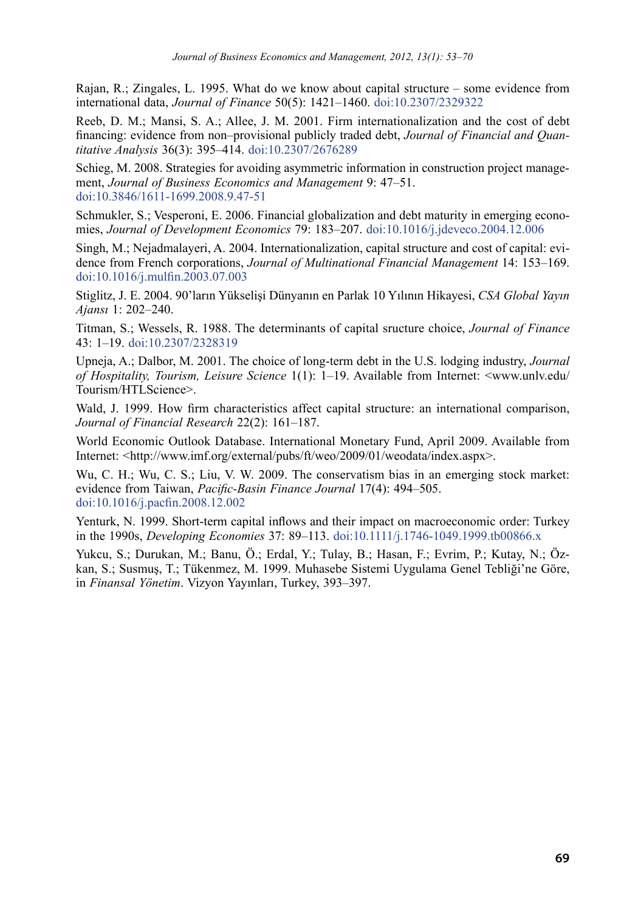Rajan, R.; Zingales, L. 1995. What do we know about capital structure – some evidence from international data, *Journal of Finance* 50(5): 1421–1460. [doi:10.2307/2329322](http://dx.doi.org/10.2307/2329322)

Reeb, D. M.; Mansi, S. A.; Allee, J. M. 2001. Firm internationalization and the cost of debt financing: evidence from non–provisional publicly traded debt, *Journal of Financial and Quantitative Analysis* 36(3): 395–414. [doi:10.2307/2676289](http://dx.doi.org/10.2307/2676289)

Schieg, M. 2008. Strategies for avoiding asymmetric information in construction project management, *Journal of Business Economics and Management* 9: 47–51. [doi:10.3846/1611-1699.2008.9.47-51](http://dx.doi.org/10.3846/1611-1699.2008.9.47-51)

Schmukler, S.; Vesperoni, E. 2006. Financial globalization and debt maturity in emerging economies, *Journal of Development Economics* 79: 183–207. [doi:10.1016/j.jdeveco.2004.12.006](http://dx.doi.org/10.1016/j.jdeveco.2004.12.006)

Singh, M.; Nejadmalayeri, A. 2004. Internationalization, capital structure and cost of capital: evidence from French corporations, *Journal of Multinational Financial Management* 14: 153–169. [doi:10.1016/j.mulfin.2003.07.003](http://dx.doi.org/10.1016/j.mulfin.2003.07.003)

Stiglitz, J. E. 2004. 90'ların Yükselişi Dünyanın en Parlak 10 Yılının Hikayesi, *CSA Global Yayın Ajansı* 1: 202–240.

Titman, S.; Wessels, R. 1988. The determinants of capital sructure choice, *Journal of Finance* 43: 1–19. [doi:10.2307/2328319](http://dx.doi.org/10.2307/2328319)

Upneja, A.; Dalbor, M. 2001. The choice of long-term debt in the U.S. lodging industry, *Journal of Hospitality, Tourism, Leisure Science* 1(1): 1–19. Available from Internet: [<www.unlv.edu/](http://www.unlv.edu/Tourism/HTLScience) [Tourism/HTLScience>](http://www.unlv.edu/Tourism/HTLScience).

Wald, J. 1999. How firm characteristics affect capital structure: an international comparison, *Journal of Financial Research* 22(2): 161–187.

World Economic Outlook Database. International Monetary Fund, April 2009. Available from Internet: [<http://www.imf.org/external/pubs/ft/weo/2009/01/weodata/index.aspx>](http://www.imf.org/external/pubs/ft/weo/2009/01/weodata/index.aspx).

Wu, C. H.; Wu, C. S.; Liu, V. W. 2009. The conservatism bias in an emerging stock market: evidence from Taiwan, *Pacific-Basin Finance Journal* 17(4): 494–505. [doi:10.1016/j.pacfin.2008.12.002](http://dx.doi.org/10.1016/j.pacfin.2008.12.002)

Yenturk, N. 1999. Short-term capital inflows and their impact on macroeconomic order: Turkey in the 1990s, *Developing Economies* 37: 89–113. [doi:10.1111/j.1746-1049.1999.tb00866.x](http://dx.doi.org/10.1111/j.1746-1049.1999.tb00866.x)

Yukcu, S.; Durukan, M.; Banu, Ö.; Erdal, Y.; Tulay, B.; Hasan, F.; Evrim, P.; Kutay, N.; Özkan, S.; Susmuş, T.; Tükenmez, M. 1999. Muhasebe Sistemi Uygulama Genel Tebliği'ne Göre, in *Finansal Yönetim*. Vizyon Yayınları, Turkey, 393–397.